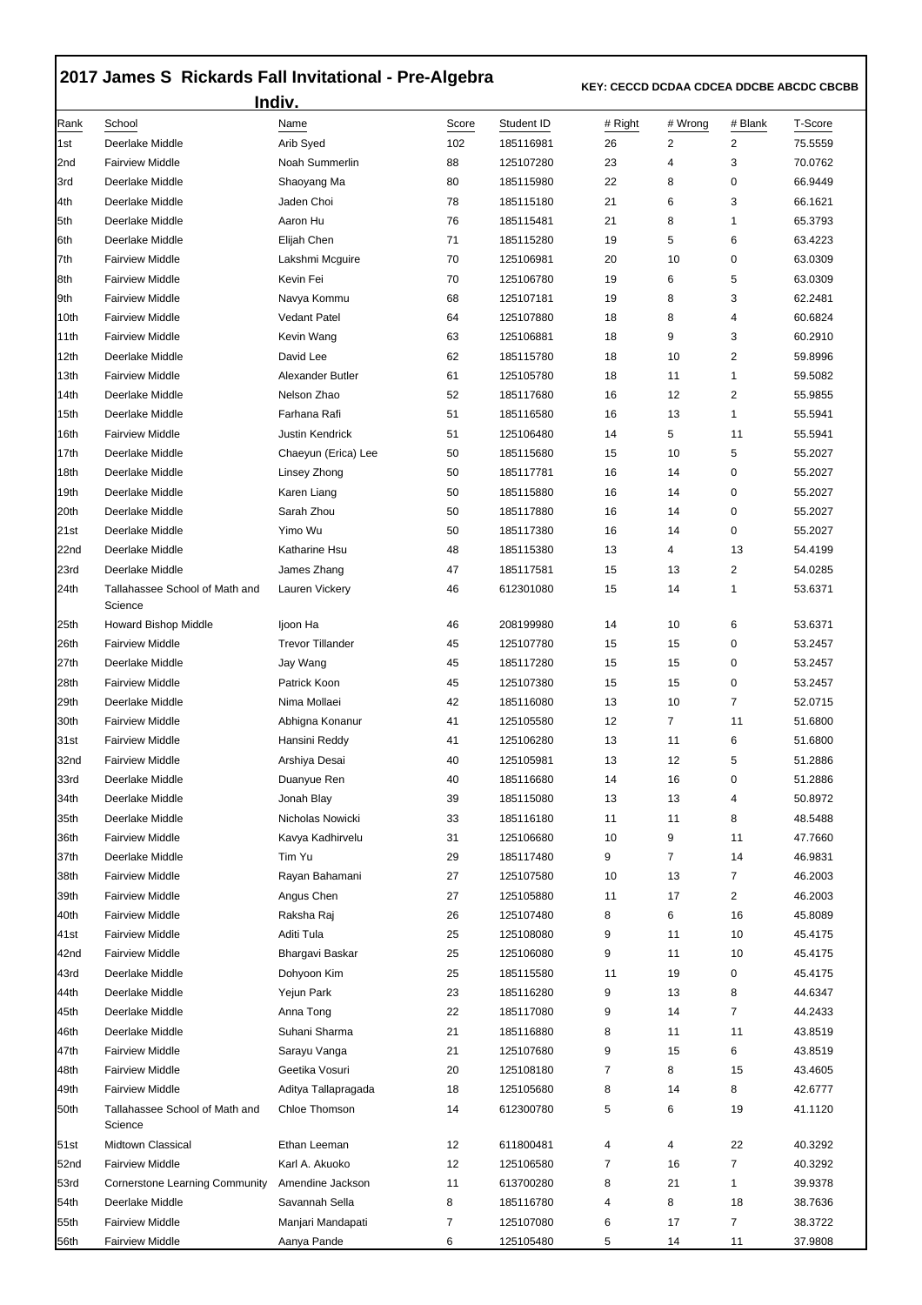## **2017 James S Rickards Fall Invitational - Pre-Algebra**

 **KEY: CECCD DCDAA CDCEA DDCBE ABCDC CBCBB** 

| Indiv.      |                                           |                         |              |                         |               |              |                           |                    |  |  |
|-------------|-------------------------------------------|-------------------------|--------------|-------------------------|---------------|--------------|---------------------------|--------------------|--|--|
| Rank<br>1st | School<br>Deerlake Middle                 | Name<br>Arib Syed       | Score<br>102 | Student ID<br>185116981 | # Right<br>26 | # Wrong<br>2 | # Blank<br>$\overline{2}$ | T-Score<br>75.5559 |  |  |
| 2nd         | <b>Fairview Middle</b>                    | Noah Summerlin          | 88           | 125107280               | 23            | 4            | 3                         | 70.0762            |  |  |
| 3rd         | Deerlake Middle                           | Shaoyang Ma             | 80           | 185115980               | 22            | 8            | 0                         | 66.9449            |  |  |
| l4th        | Deerlake Middle                           | Jaden Choi              | 78           | 185115180               | 21            | 6            | 3                         | 66.1621            |  |  |
| 5th         | Deerlake Middle                           | Aaron Hu                | 76           | 185115481               | 21            | 8            | 1                         | 65.3793            |  |  |
| 6th         | Deerlake Middle                           | Elijah Chen             | 71           | 185115280               | 19            | 5            | 6                         | 63.4223            |  |  |
| 7th         | <b>Fairview Middle</b>                    | Lakshmi Mcguire         | 70           | 125106981               | 20            | 10           | 0                         | 63.0309            |  |  |
| 8th         | <b>Fairview Middle</b>                    | Kevin Fei               | 70           | 125106780               | 19            | 6            | 5                         | 63.0309            |  |  |
| 9th         | <b>Fairview Middle</b>                    | Navya Kommu             | 68           | 125107181               | 19            | 8            | 3                         | 62.2481            |  |  |
| 10th        | <b>Fairview Middle</b>                    | <b>Vedant Patel</b>     | 64           | 125107880               | 18            | 8            | 4                         | 60.6824            |  |  |
| 11th        | <b>Fairview Middle</b>                    | Kevin Wang              | 63           | 125106881               | 18            | 9            | 3                         | 60.2910            |  |  |
| 12th        | Deerlake Middle                           | David Lee               | 62           | 185115780               | 18            | 10           | $\overline{2}$            | 59.8996            |  |  |
| 13th        | <b>Fairview Middle</b>                    | Alexander Butler        | 61           | 125105780               | 18            | 11           | 1                         | 59.5082            |  |  |
| 14th        | Deerlake Middle                           | Nelson Zhao             | 52           | 185117680               | 16            | 12           | 2                         | 55.9855            |  |  |
| 15th        | Deerlake Middle                           | Farhana Rafi            | 51           | 185116580               | 16            | 13           | $\mathbf{1}$              | 55.5941            |  |  |
| 16th        | <b>Fairview Middle</b>                    | <b>Justin Kendrick</b>  | 51           | 125106480               | 14            | 5            | 11                        | 55.5941            |  |  |
| 17th        | Deerlake Middle                           | Chaeyun (Erica) Lee     | 50           | 185115680               | 15            | 10           | 5                         | 55.2027            |  |  |
| 18th        | Deerlake Middle                           | Linsey Zhong            | 50           | 185117781               | 16            | 14           | 0                         | 55.2027            |  |  |
| 19th        | Deerlake Middle                           | Karen Liang             | 50           | 185115880               | 16            | 14           | 0                         | 55.2027            |  |  |
| 20th        | Deerlake Middle                           | Sarah Zhou              | 50           | 185117880               | 16            | 14           | 0                         | 55.2027            |  |  |
| 21st        | Deerlake Middle                           | Yimo Wu                 | 50           | 185117380               | 16            | 14           | 0                         | 55.2027            |  |  |
| 22nd        | Deerlake Middle                           | Katharine Hsu           | 48           | 185115380               | 13            | 4            | 13                        | 54.4199            |  |  |
| 23rd        | Deerlake Middle                           | James Zhang             | 47           | 185117581               | 15            | 13           | 2                         | 54.0285            |  |  |
| 24th        | Tallahassee School of Math and<br>Science | Lauren Vickery          | 46           | 612301080               | 15            | 14           | 1                         | 53.6371            |  |  |
| 25th        | Howard Bishop Middle                      | Ijoon Ha                | 46           | 208199980               | 14            | 10           | 6                         | 53.6371            |  |  |
| 26th        | <b>Fairview Middle</b>                    | <b>Trevor Tillander</b> | 45           | 125107780               | 15            | 15           | 0                         | 53.2457            |  |  |
| 27th        | Deerlake Middle                           | Jay Wang                | 45           | 185117280               | 15            | 15           | 0                         | 53.2457            |  |  |
| 28th        | <b>Fairview Middle</b>                    | Patrick Koon            | 45           | 125107380               | 15            | 15           | 0                         | 53.2457            |  |  |
| 29th        | Deerlake Middle                           | Nima Mollaei            | 42           | 185116080               | 13            | 10           | 7                         | 52.0715            |  |  |
| 30th        | <b>Fairview Middle</b>                    | Abhigna Konanur         | 41           | 125105580               | 12            | 7            | 11                        | 51.6800            |  |  |
| 31st        | <b>Fairview Middle</b>                    | Hansini Reddy           | 41           | 125106280               | 13            | 11           | 6                         | 51.6800            |  |  |
| 32nd        | <b>Fairview Middle</b>                    | Arshiya Desai           | 40           | 125105981               | 13            | 12           | 5                         | 51.2886            |  |  |
| 33rd        | Deerlake Middle                           | Duanyue Ren             | 40           | 185116680               | 14            | 16           | 0                         | 51.2886            |  |  |
| 34th        | Deerlake Middle                           | Jonah Blay              | 39           | 185115080               | 13            | 13           | 4                         | 50.8972            |  |  |
| 35th        | Deerlake Middle                           | Nicholas Nowicki        | 33           | 185116180               | 11            | 11           | 8                         | 48.5488            |  |  |
| 36th        | <b>Fairview Middle</b>                    | Kavya Kadhirvelu        | 31           | 125106680               | 10            | 9            | 11                        | 47.7660            |  |  |
| 37th        | Deerlake Middle                           | Tim Yu                  | 29           | 185117480               | 9             | 7            | 14                        | 46.9831            |  |  |
| 38th        | <b>Fairview Middle</b>                    | Rayan Bahamani          | 27           | 125107580               | 10            | 13           | $\overline{7}$            | 46.2003            |  |  |
| 39th        | <b>Fairview Middle</b>                    | Angus Chen              | 27           | 125105880               | 11            | 17           | $\overline{2}$            | 46.2003            |  |  |
| 40th        | <b>Fairview Middle</b>                    | Raksha Raj              | 26           | 125107480               | 8             | 6            | 16                        | 45.8089            |  |  |
| 41st        | <b>Fairview Middle</b>                    | Aditi Tula              | 25           | 125108080               | 9             | 11           | 10                        | 45.4175            |  |  |
| 42nd        | <b>Fairview Middle</b>                    | Bhargavi Baskar         | 25           | 125106080               | 9             | 11           | 10                        | 45.4175            |  |  |
| 43rd        | Deerlake Middle                           | Dohyoon Kim             | 25           | 185115580               | 11            | 19           | 0                         | 45.4175            |  |  |
| 44th        | Deerlake Middle                           | Yejun Park              | 23           | 185116280               | 9             | 13           | 8                         | 44.6347            |  |  |
|             |                                           |                         |              |                         |               |              |                           |                    |  |  |
| 45th        | Deerlake Middle                           | Anna Tong               | 22           | 185117080               | 9             | 14           | 7                         | 44.2433            |  |  |
| 46th        | Deerlake Middle                           | Suhani Sharma           | 21           | 185116880               | 8             | 11           | 11                        | 43.8519            |  |  |
| 47th        | <b>Fairview Middle</b>                    | Sarayu Vanga            | 21           | 125107680               | 9             | 15           | 6                         | 43.8519            |  |  |
| 48th        | <b>Fairview Middle</b>                    | Geetika Vosuri          | 20           | 125108180               | 7             | 8            | 15                        | 43.4605            |  |  |
| 49th        | <b>Fairview Middle</b>                    | Aditya Tallapragada     | 18           | 125105680               | 8             | 14           | 8                         | 42.6777            |  |  |
| 50th        | Tallahassee School of Math and<br>Science | Chloe Thomson           | 14           | 612300780               | 5             | 6            | 19                        | 41.1120            |  |  |
| 51st        | Midtown Classical                         | Ethan Leeman            | 12           | 611800481               | 4             | 4            | 22                        | 40.3292            |  |  |
| 52nd        | <b>Fairview Middle</b>                    | Karl A. Akuoko          | 12           | 125106580               | 7             | 16           | 7                         | 40.3292            |  |  |
| 53rd        | <b>Cornerstone Learning Community</b>     | Amendine Jackson        | 11           | 613700280               | 8             | 21           | $\mathbf{1}$              | 39.9378            |  |  |
| 54th        | Deerlake Middle                           | Savannah Sella          | 8            | 185116780               | 4             | 8            | 18                        | 38.7636            |  |  |
| 55th        | <b>Fairview Middle</b>                    | Manjari Mandapati       | 7            | 125107080               | 6             | 17           | 7                         | 38.3722            |  |  |
| 56th        | <b>Fairview Middle</b>                    | Aanya Pande             | 6            | 125105480               | 5             | 14           | 11                        | 37.9808            |  |  |